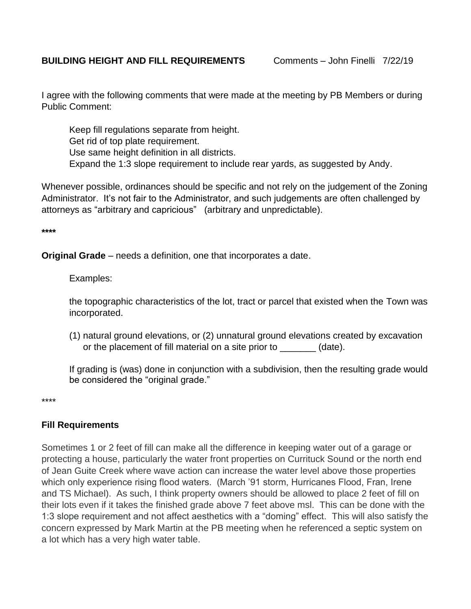## **BUILDING HEIGHT AND FILL REQUIREMENTS** Comments – John Finelli 7/22/19

I agree with the following comments that were made at the meeting by PB Members or during Public Comment:

Keep fill regulations separate from height. Get rid of top plate requirement. Use same height definition in all districts. Expand the 1:3 slope requirement to include rear yards, as suggested by Andy.

Whenever possible, ordinances should be specific and not rely on the judgement of the Zoning Administrator. It's not fair to the Administrator, and such judgements are often challenged by attorneys as "arbitrary and capricious" (arbitrary and unpredictable).

**\*\*\*\***

**Original Grade** – needs a definition, one that incorporates a date.

Examples:

the topographic characteristics of the lot, tract or parcel that existed when the Town was incorporated.

(1) natural ground elevations, or (2) unnatural ground elevations created by excavation or the placement of fill material on a site prior to  $(date)$ .

If grading is (was) done in conjunction with a subdivision, then the resulting grade would be considered the "original grade."

\*\*\*\*

## **Fill Requirements**

Sometimes 1 or 2 feet of fill can make all the difference in keeping water out of a garage or protecting a house, particularly the water front properties on Currituck Sound or the north end of Jean Guite Creek where wave action can increase the water level above those properties which only experience rising flood waters. (March '91 storm, Hurricanes Flood, Fran, Irene and TS Michael). As such, I think property owners should be allowed to place 2 feet of fill on their lots even if it takes the finished grade above 7 feet above msl. This can be done with the 1:3 slope requirement and not affect aesthetics with a "doming" effect. This will also satisfy the concern expressed by Mark Martin at the PB meeting when he referenced a septic system on a lot which has a very high water table.